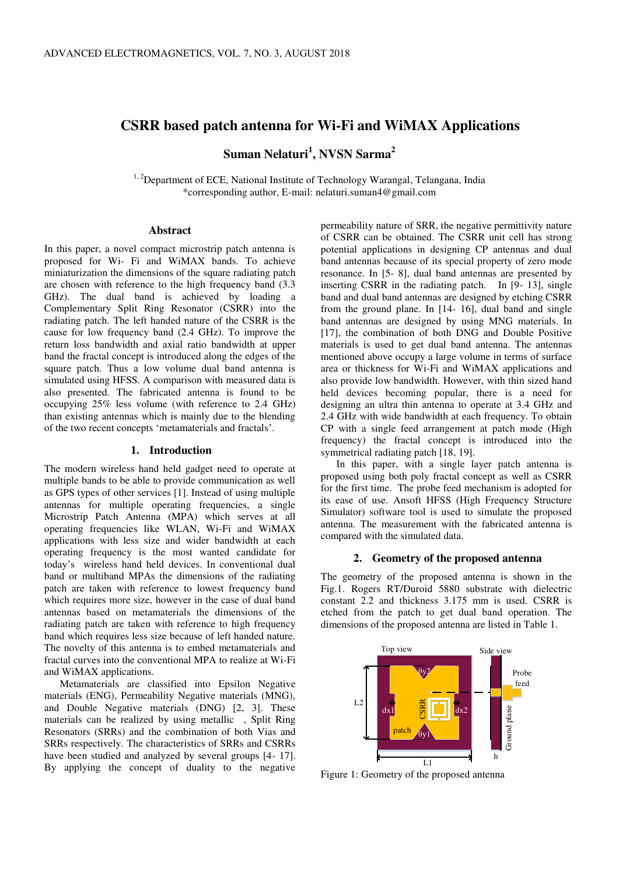# **CSRR based patch antenna for Wi-Fi and WiMAX Applications**

**Suman Nelaturi<sup>1</sup> , NVSN Sarma<sup>2</sup>**

<sup>1, 2</sup>Department of ECE, National Institute of Technology Warangal, Telangana, India \*corresponding author, E-mail: nelaturi.suman4@gmail.com

#### **Abstract**

In this paper, a novel compact microstrip patch antenna is proposed for Wi- Fi and WiMAX bands. To achieve miniaturization the dimensions of the square radiating patch are chosen with reference to the high frequency band (3.3 GHz). The dual band is achieved by loading a Complementary Split Ring Resonator (CSRR) into the radiating patch. The left handed nature of the CSRR is the cause for low frequency band (2.4 GHz). To improve the return loss bandwidth and axial ratio bandwidth at upper band the fractal concept is introduced along the edges of the square patch. Thus a low volume dual band antenna is simulated using HFSS. A comparison with measured data is also presented. The fabricated antenna is found to be occupying 25% less volume (with reference to 2.4 GHz) than existing antennas which is mainly due to the blending of the two recent concepts 'metamaterials and fractals'.

### **1. Introduction**

The modern wireless hand held gadget need to operate at multiple bands to be able to provide communication as well as GPS types of other services [1]. Instead of using multiple antennas for multiple operating frequencies, a single Microstrip Patch Antenna (MPA) which serves at all operating frequencies like WLAN, Wi-Fi and WiMAX applications with less size and wider bandwidth at each operating frequency is the most wanted candidate for today's wireless hand held devices. In conventional dual band or multiband MPAs the dimensions of the radiating patch are taken with reference to lowest frequency band which requires more size, however in the case of dual band antennas based on metamaterials the dimensions of the radiating patch are taken with reference to high frequency band which requires less size because of left handed nature. The novelty of this antenna is to embed metamaterials and fractal curves into the conventional MPA to realize at Wi-Fi and WiMAX applications.

Metamaterials are classified into Epsilon Negative materials (ENG), Permeability Negative materials (MNG), and Double Negative materials (DNG) [2, 3]. These materials can be realized by using metallic , Split Ring Resonators (SRRs) and the combination of both Vias and SRRs respectively. The characteristics of SRRs and CSRRs have been studied and analyzed by several groups [4- 17]. By applying the concept of duality to the negative

permeability nature of SRR, the negative permittivity nature of CSRR can be obtained. The CSRR unit cell has strong potential applications in designing CP antennas and dual band antennas because of its special property of zero mode resonance. In [5- 8], dual band antennas are presented by inserting CSRR in the radiating patch. In  $[9-13]$ , single band and dual band antennas are designed by etching CSRR from the ground plane. In [14- 16], dual band and single band antennas are designed by using MNG materials. In [17], the combination of both DNG and Double Positive materials is used to get dual band antenna. The antennas mentioned above occupy a large volume in terms of surface area or thickness for Wi-Fi and WiMAX applications and also provide low bandwidth. However, with thin sized hand held devices becoming popular, there is a need for designing an ultra thin antenna to operate at 3.4 GHz and 2.4 GHz with wide bandwidth at each frequency. To obtain CP with a single feed arrangement at patch mode (High frequency) the fractal concept is introduced into the symmetrical radiating patch [18, 19].

In this paper, with a single layer patch antenna is proposed using both poly fractal concept as well as CSRR for the first time. The probe feed mechanism is adopted for its ease of use. Ansoft HFSS (High Frequency Structure Simulator) software tool is used to simulate the proposed antenna. The measurement with the fabricated antenna is compared with the simulated data.

#### **2. Geometry of the proposed antenna**

The geometry of the proposed antenna is shown in the Fig.1. Rogers RT/Duroid 5880 substrate with dielectric constant 2.2 and thickness 3.175 mm is used. CSRR is etched from the patch to get dual band operation. The dimensions of the proposed antenna are listed in Table 1.



Figure 1: Geometry of the proposed antenna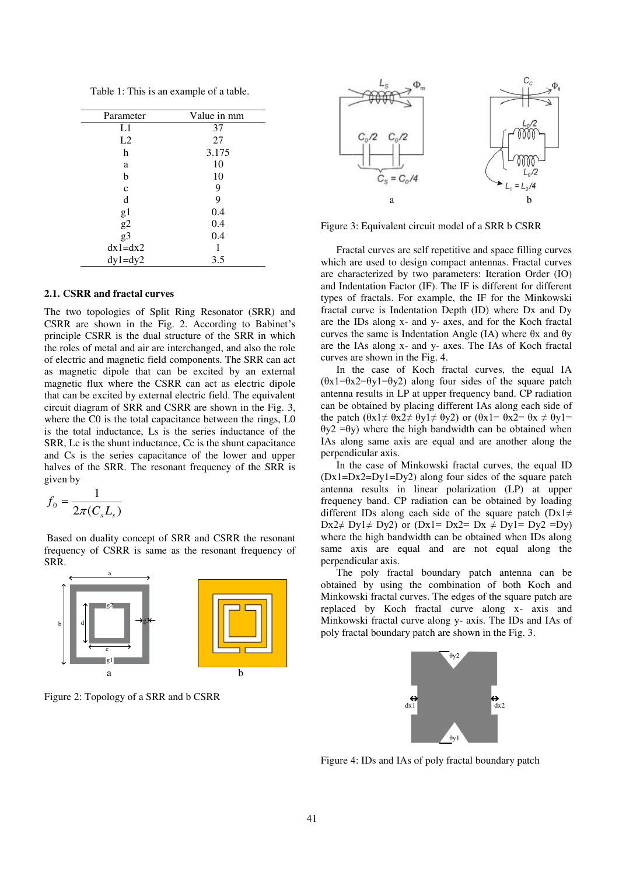Table 1: This is an example of a table.

| Parameter       | Value in mm |  |  |
|-----------------|-------------|--|--|
| L1              | 37          |  |  |
| L2              | 27          |  |  |
| h               | 3.175       |  |  |
| a               | 10          |  |  |
| b               | 10          |  |  |
| $\mathbf{C}$    | 9           |  |  |
| d               | 9           |  |  |
| g1              | 0.4         |  |  |
|                 | 0.4         |  |  |
| $\frac{g2}{g3}$ | 0.4         |  |  |
| $dx1=dx2$       |             |  |  |
| $dy1 = dy2$     | 3.5         |  |  |

### **2.1. CSRR and fractal curves**

The two topologies of Split Ring Resonator (SRR) and CSRR are shown in the Fig. 2. According to Babinet's principle CSRR is the dual structure of the SRR in which the roles of metal and air are interchanged, and also the role of electric and magnetic field components. The SRR can act as magnetic dipole that can be excited by an external magnetic flux where the CSRR can act as electric dipole that can be excited by external electric field. The equivalent circuit diagram of SRR and CSRR are shown in the Fig. 3, where the C0 is the total capacitance between the rings, L0 is the total inductance, Ls is the series inductance of the SRR, Lc is the shunt inductance, Cc is the shunt capacitance and Cs is the series capacitance of the lower and upper halves of the SRR. The resonant frequency of the SRR is given by

$$
f_0 = \frac{1}{2\pi (C_s L_s)}
$$

 Based on duality concept of SRR and CSRR the resonant frequency of CSRR is same as the resonant frequency of SRR.



Figure 2: Topology of a SRR and b CSRR



Figure 3: Equivalent circuit model of a SRR b CSRR

Fractal curves are self repetitive and space filling curves which are used to design compact antennas. Fractal curves are characterized by two parameters: Iteration Order (IO) and Indentation Factor (IF). The IF is different for different types of fractals. For example, the IF for the Minkowski fractal curve is Indentation Depth (ID) where Dx and Dy are the IDs along x- and y- axes, and for the Koch fractal curves the same is Indentation Angle (IA) where θx and θy are the IAs along x- and y- axes. The IAs of Koch fractal curves are shown in the Fig. 4.

In the case of Koch fractal curves, the equal IA  $(\theta x1=\theta x2=\theta y1=\theta y2)$  along four sides of the square patch antenna results in LP at upper frequency band. CP radiation can be obtained by placing different IAs along each side of the patch  $(\theta x1 \neq \theta x2 \neq \theta y1 \neq \theta y2)$  or  $(\theta x1 = \theta x2 = \theta x \neq \theta y1 =$ θy2 =θy) where the high bandwidth can be obtained when IAs along same axis are equal and are another along the perpendicular axis.

In the case of Minkowski fractal curves, the equal ID (Dx1=Dx2=Dy1=Dy2) along four sides of the square patch antenna results in linear polarization (LP) at upper frequency band. CP radiation can be obtained by loading different IDs along each side of the square patch (Dx1 $\neq$ Dx2 $\neq$  Dy1 $\neq$  Dy2) or (Dx1= Dx2= Dx  $\neq$  Dy1= Dy2 =Dy) where the high bandwidth can be obtained when IDs along same axis are equal and are not equal along the perpendicular axis.

The poly fractal boundary patch antenna can be obtained by using the combination of both Koch and Minkowski fractal curves. The edges of the square patch are replaced by Koch fractal curve along x- axis and Minkowski fractal curve along y- axis. The IDs and IAs of poly fractal boundary patch are shown in the Fig. 3.



Figure 4: IDs and IAs of poly fractal boundary patch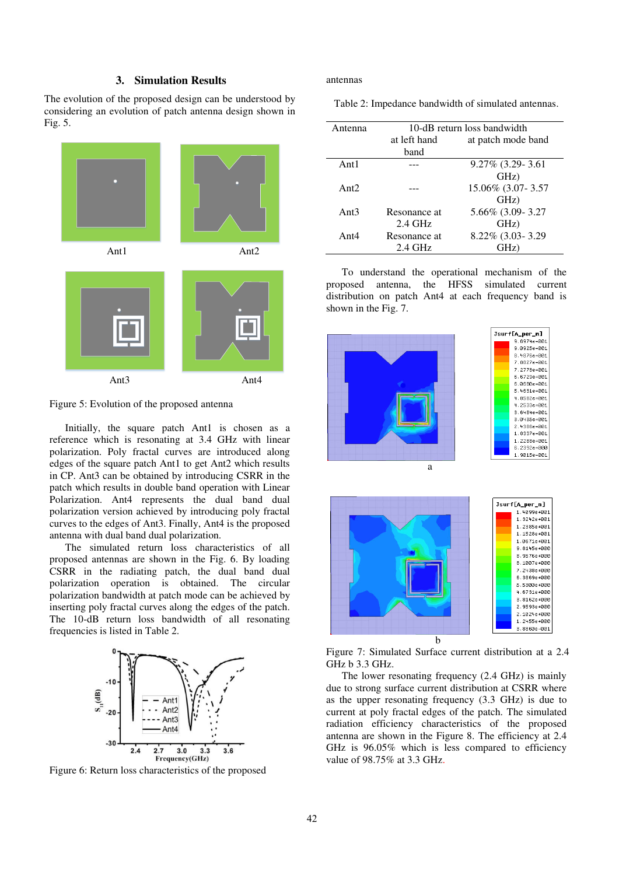## **3. Simulation Results**

The evolution of the proposed design can be understood by considering an evolution of patch antenna design shown in Fig. 5.



Figure 5: Evolution of the proposed antenna

Initially, the square patch Ant1 is chosen as a reference which is resonating at 3.4 GHz with linear polarization. Poly fractal curves are introduced along edges of the square patch Ant1 to get Ant2 which results in CP. Ant3 can be obtained by introducing CSRR in the patch which results in double band operation with Linear Polarization. Ant4 represents the dual band dual polarization version achieved by introducing poly fractal curves to the edges of Ant3. Finally, Ant4 is the proposed antenna with dual band dual polarization.

The simulated return loss characteristics of all proposed antennas are shown in the Fig. 6. By loading CSRR in the radiating patch, the dual band dual polarization operation is obtained. The circular polarization bandwidth at patch mode can be achieved by inserting poly fractal curves along the edges of the patch. The 10-dB return loss bandwidth of all resonating frequencies is listed in Table 2.



Figure 6: Return loss characteristics of the proposed

antennas

Table 2: Impedance bandwidth of simulated antennas.

| Antenna | 10-dB return loss bandwidth |                    |  |  |
|---------|-----------------------------|--------------------|--|--|
|         | at left hand                | at patch mode band |  |  |
|         | band                        |                    |  |  |
| Ant $1$ |                             | 9.27% (3.29-3.61   |  |  |
|         |                             | GHz)               |  |  |
| Ant $2$ |                             | 15.06% (3.07-3.57  |  |  |
|         |                             | GHz)               |  |  |
| Ant $3$ | Resonance at                | 5.66% (3.09-3.27   |  |  |
|         | $2.4$ GHz                   | GHz)               |  |  |
| Ant $4$ | Resonance at                | 8.22% (3.03-3.29)  |  |  |
|         | 2.4 GHz                     | GHz)               |  |  |

To understand the operational mechanism of the proposed antenna, the HFSS simulated current distribution on patch Ant4 at each frequency band is shown in the Fig. 7.



Figure 7: Simulated Surface current distribution at a 2.4 GHz b 3.3 GHz.

The lower resonating frequency (2.4 GHz) is mainly due to strong surface current distribution at CSRR where as the upper resonating frequency (3.3 GHz) is due to current at poly fractal edges of the patch. The simulated radiation efficiency characteristics of the proposed antenna are shown in the Figure 8. The efficiency at 2.4 GHz is 96.05% which is less compared to efficiency value of 98.75% at 3.3 GHz.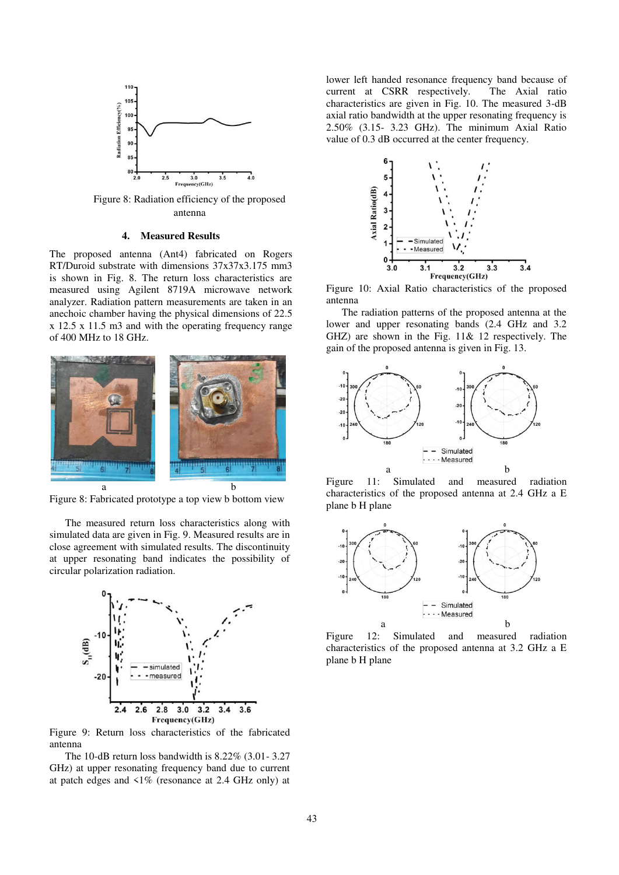

Figure 8: Radiation efficiency of the proposed antenna

#### **4. Measured Results**

The proposed antenna (Ant4) fabricated on Rogers RT/Duroid substrate with dimensions 37x37x3.175 mm3 is shown in Fig. 8. The return loss characteristics are measured using Agilent 8719A microwave network analyzer. Radiation pattern measurements are taken in an anechoic chamber having the physical dimensions of 22.5 x 12.5 x 11.5 m3 and with the operating frequency range of 400 MHz to 18 GHz.



Figure 8: Fabricated prototype a top view b bottom view

The measured return loss characteristics along with simulated data are given in Fig. 9. Measured results are in close agreement with simulated results. The discontinuity at upper resonating band indicates the possibility of circular polarization radiation.



Figure 9: Return loss characteristics of the fabricated antenna

The 10-dB return loss bandwidth is 8.22% (3.01- 3.27 GHz) at upper resonating frequency band due to current at patch edges and  $\langle 1\%$  (resonance at 2.4 GHz only) at

lower left handed resonance frequency band because of current at CSRR respectively. The Axial ratio current at CSRR respectively. characteristics are given in Fig. 10. The measured 3-dB axial ratio bandwidth at the upper resonating frequency is 2.50% (3.15- 3.23 GHz). The minimum Axial Ratio value of 0.3 dB occurred at the center frequency.



Figure 10: Axial Ratio characteristics of the proposed antenna

The radiation patterns of the proposed antenna at the lower and upper resonating bands (2.4 GHz and 3.2 GHZ) are shown in the Fig. 11& 12 respectively. The gain of the proposed antenna is given in Fig. 13.



Figure 11: Simulated and measured radiation characteristics of the proposed antenna at 2.4 GHz a E plane b H plane



Figure 12: Simulated and measured radiation characteristics of the proposed antenna at 3.2 GHz a E plane b H plane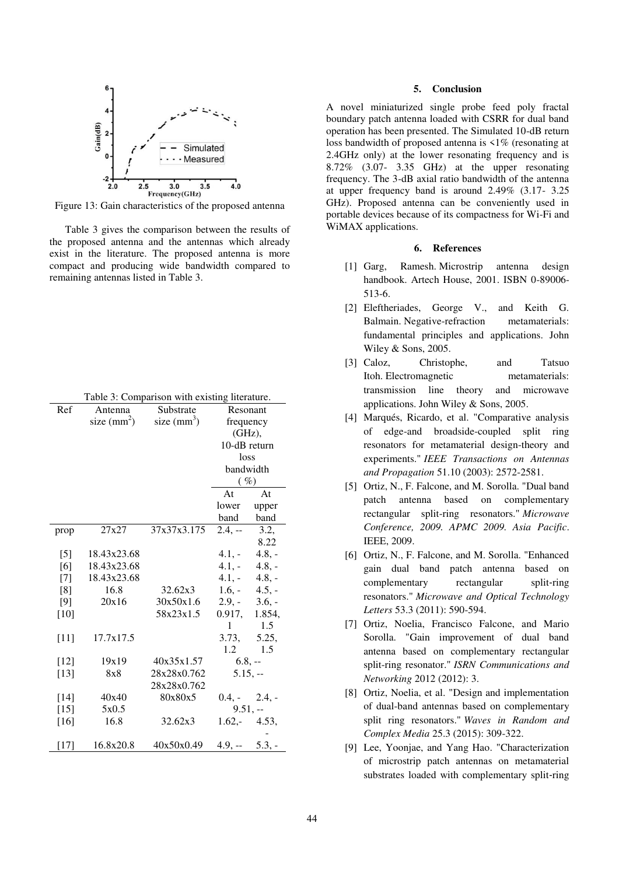

Figure 13: Gain characteristics of the proposed antenna

Table 3 gives the comparison between the results of the proposed antenna and the antennas which already exist in the literature. The proposed antenna is more compact and producing wide bandwidth compared to remaining antennas listed in Table 3.

|  |  |  | Table 3: Comparison with existing literature. |
|--|--|--|-----------------------------------------------|
|--|--|--|-----------------------------------------------|

| Ref    | Antenna       | Substrate    |                | Resonant |  |
|--------|---------------|--------------|----------------|----------|--|
|        | size $(mm^2)$ | size $(mm3)$ | frequency      |          |  |
|        |               |              | (GHz),         |          |  |
|        |               |              | 10-dB return   |          |  |
|        |               |              | loss           |          |  |
|        |               |              | bandwidth      |          |  |
|        |               |              | $($ %)         |          |  |
|        |               |              | At             | At       |  |
|        |               |              | lower          | upper    |  |
|        |               |              | band           | band     |  |
| prop   | 27x27         | 37x37x3.175  | $2.4, -$       | 3.2,     |  |
|        |               |              |                | 8.22     |  |
| $[5]$  | 18.43x23.68   |              | $4.1,-$        | $4.8, -$ |  |
| [6]    | 18.43x23.68   |              | $4.1, -$       | $4.8, -$ |  |
| $[7]$  | 18.43x23.68   |              | $4.1, -4.8, -$ |          |  |
| [8]    | 16.8          | 32.62x3      | $1.6, -4.5, -$ |          |  |
| [9]    | 20x16         | 30x50x1.6    | $2.9, -3.6, -$ |          |  |
| $[10]$ |               | 58x23x1.5    | 0.917,         | 1.854,   |  |
|        |               |              | 1              | 1.5      |  |
| $[11]$ | 17.7x17.5     |              | 3.73.          | 5.25,    |  |
|        |               |              | 1.2            | 1.5      |  |
| $[12]$ | 19x19         | 40x35x1.57   | $6.8, -$       |          |  |
| $[13]$ | 8x8           | 28x28x0.762  | $5.15, -$      |          |  |
|        |               | 28x28x0.762  |                |          |  |
| $[14]$ | 40x40         | 80x80x5      | $0.4, -2.4, -$ |          |  |
| $[15]$ | 5x0.5         |              | $9.51, -$      |          |  |
| $[16]$ | 16.8          | 32.62x3      | $1.62, -4.53,$ |          |  |
|        |               |              |                |          |  |
| [17]   | 16.8x20.8     | 40x50x0.49   | $4.9, -5.3, -$ |          |  |

#### **5. Conclusion**

A novel miniaturized single probe feed poly fractal boundary patch antenna loaded with CSRR for dual band operation has been presented. The Simulated 10-dB return loss bandwidth of proposed antenna is <1% (resonating at 2.4GHz only) at the lower resonating frequency and is 8.72% (3.07- 3.35 GHz) at the upper resonating frequency. The 3-dB axial ratio bandwidth of the antenna at upper frequency band is around 2.49% (3.17- 3.25 GHz). Proposed antenna can be conveniently used in portable devices because of its compactness for Wi-Fi and WiMAX applications.

### **6. References**

- [1] Garg, Ramesh. Microstrip antenna design handbook. Artech House, 2001. ISBN 0-89006- 513-6.
- [2] Eleftheriades, George V., and Keith G. Balmain. Negative-refraction metamaterials: fundamental principles and applications. John Wiley & Sons, 2005.
- [3] Caloz, Christophe, and Tatsuo Itoh. Electromagnetic metamaterials: transmission line theory and microwave applications. John Wiley & Sons, 2005.
- [4] Marqués, Ricardo, et al. "Comparative analysis of edge-and broadside-coupled split ring resonators for metamaterial design-theory and experiments." *IEEE Transactions on Antennas and Propagation* 51.10 (2003): 2572-2581.
- [5] Ortiz, N., F. Falcone, and M. Sorolla. "Dual band patch antenna based on complementary rectangular split-ring resonators." *Microwave Conference, 2009. APMC 2009. Asia Pacific*. IEEE, 2009.
- [6] Ortiz, N., F. Falcone, and M. Sorolla. "Enhanced gain dual band patch antenna based on complementary rectangular split-ring resonators." *Microwave and Optical Technology Letters* 53.3 (2011): 590-594.
- [7] Ortiz, Noelia, Francisco Falcone, and Mario Sorolla. "Gain improvement of dual band antenna based on complementary rectangular split-ring resonator." *ISRN Communications and Networking* 2012 (2012): 3.
- [8] Ortiz, Noelia, et al. "Design and implementation of dual-band antennas based on complementary split ring resonators." *Waves in Random and Complex Media* 25.3 (2015): 309-322.
- [9] Lee, Yoonjae, and Yang Hao. "Characterization of microstrip patch antennas on metamaterial substrates loaded with complementary split‐ring